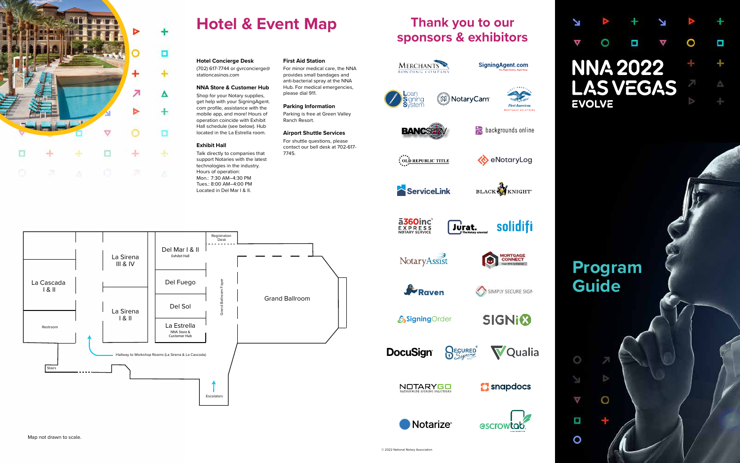

# **Hotel & Event Map**

### N Ο Ω  $\circ$ ¢ Δ O **NNA 2022** ÷ **LAS VEGAS** Δ **EVOLVE**

Map not drawn to scale.





# **Program Guide**

 $\frac{1}{2}$ 

O

 $\circ$ 

Ý.

 $\overline{\nabla}$ 

O

O

**Hotel Concierge Desk** (702) 617-7744 or gvrconcierge@

stationcasinos.com

#### **NNA Store & Customer Hub**

Shop for your Notary supplies, get help with your SigningAgent. com profile, assistance with the mobile app, and more! Hours of operation coincide with Exhibit Hall schedule (see below). Hub located in the La Estrella room.

#### **Exhibit Hall**

Talk directly to companies that support Notaries with the latest technologies in the industry. Hours of operation: Mon.: 7:30 AM–4:30 PM Tues.: 8:00 AM–4:00 PM Located in Del Mar I & II.

**First Aid Station** For minor medical care, the NNA provides small bandages and anti-bacterial spray at the NNA Hub. For medical emergencies, please dial 911.

**Parking Information** Parking is free at Green Valley Ranch Resort.

**Airport Shuttle Services** For shuttle questions, please contact our bell desk at 702-617-

7745.

# **Thank you to our<br>sponsors & exhibitors**